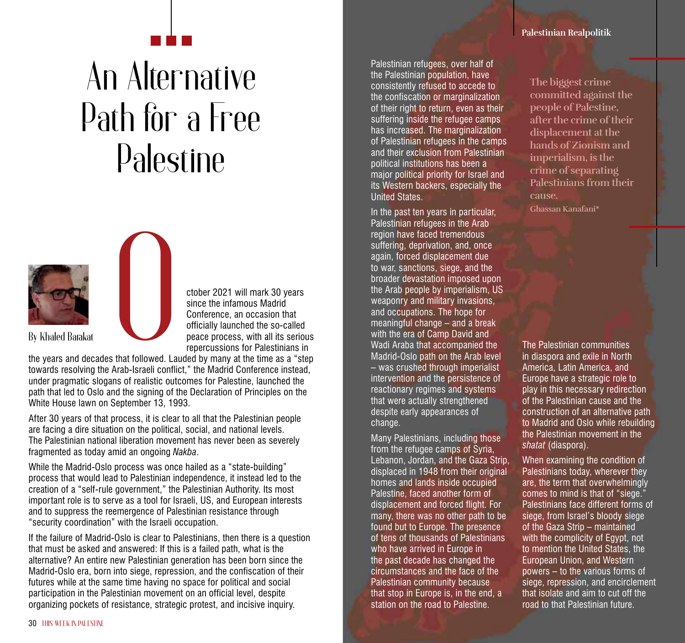## An Alternative Path for a Free Palestine





ctober 2021 will mark 30 years since the infamous Madrid Conference, an occasion that officially launched the so-called peace process, with all its serious repercussions for Palestinians in

the years and decades that followed. Lauded by many at the time as a "step towards resolving the Arab-Israeli conflict," the Madrid Conference instead, under pragmatic slogans of realistic outcomes for Palestine, launched the path that led to Oslo and the signing of the Declaration of Principles on the White House lawn on September 13, 1993.

After 30 years of that process, it is clear to all that the Palestinian people are facing a dire situation on the political, social, and national levels. The Palestinian national liberation movement has never been as severely fragmented as today amid an ongoing *Nakba*.

While the Madrid-Oslo process was once hailed as a "state-building" process that would lead to Palestinian independence, it instead led to the creation of a "self-rule government," the Palestinian Authority. Its most important role is to serve as a tool for Israeli, US, and European interests and to suppress the reemergence of Palestinian resistance through "security coordination" with the Israeli occupation.

If the failure of Madrid-Oslo is clear to Palestinians, then there is a question that must be asked and answered: If this is a failed path, what is the alternative? An entire new Palestinian generation has been born since the Madrid-Oslo era, born into siege, repression, and the confiscation of their futures while at the same time having no space for political and social participation in the Palestinian movement on an official level, despite organizing pockets of resistance, strategic protest, and incisive inquiry.

Palestinian refugees, over half of the Palestinian population, have consistently refused to accede to the confiscation or marginalization of their right to return, even as their suffering inside the refugee camps has increased. The marginalization of Palestinian refugees in the camps and their exclusion from Palestinian political institutions has been a major political priority for Israel and its Western backers, especially the United States.

In the past ten years in particular, Palestinian refugees in the Arab region have faced tremendous suffering, deprivation, and, once again, forced displacement due to war, sanctions, siege, and the broader devastation imposed upon the Arab people by imperialism, US weaponry and military invasions, and occupations. The hope for meaningful change – and a break with the era of Camp David and Wadi Araba that accompanied the Madrid-Oslo path on the Arab level – was crushed through imperialist intervention and the persistence of reactionary regimes and systems that were actually strengthened despite early appearances of change.

Many Palestinians, including those from the refugee camps of Syria, Lebanon, Jordan, and the Gaza Strip, displaced in 1948 from their original homes and lands inside occupied Palestine, faced another form of displacement and forced flight. For many, there was no other path to be found but to Europe. The presence of tens of thousands of Palestinians who have arrived in Europe in the past decade has changed the circumstances and the face of the Palestinian community because that stop in Europe is, in the end, a station on the road to Palestine.

**Palestinian Realpolitik**

**The biggest crime committed against the people of Palestine, after the crime of their displacement at the hands of Zionism and imperialism, is the crime of separating Palestinians from their cause. Ghassan Kanafani\***

The Palestinian communities in diaspora and exile in North America, Latin America, and Europe have a strategic role to play in this necessary redirection of the Palestinian cause and the construction of an alternative path to Madrid and Oslo while rebuilding the Palestinian movement in the *shatat* (diaspora).

When examining the condition of Palestinians today, wherever they are, the term that overwhelmingly comes to mind is that of "siege." Palestinians face different forms of siege, from Israel's bloody siege of the Gaza Strip – maintained with the complicity of Egypt, not to mention the United States, the European Union, and Western powers – to the various forms of siege, repression, and encirclement that isolate and aim to cut off the road to that Palestinian future.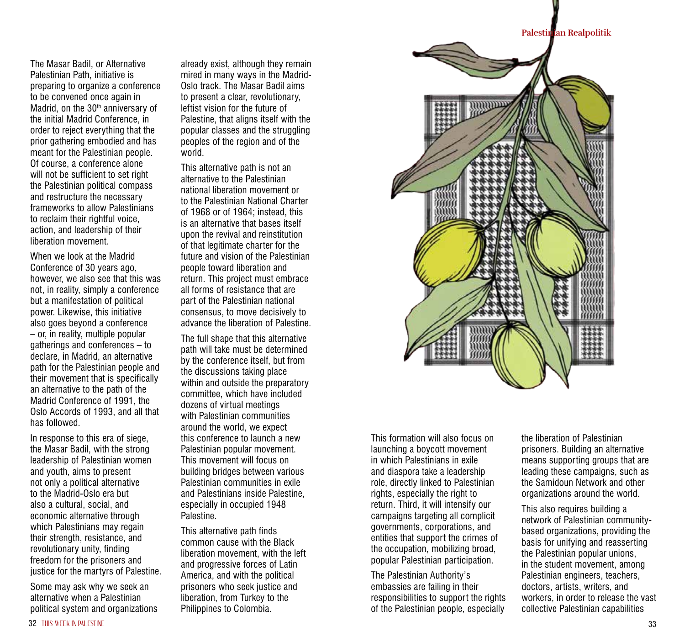**Palestinian Realpolitik**

The Masar Badil, or Alternative Palestinian Path, initiative is preparing to organize a conference to be convened once again in Madrid, on the 30<sup>th</sup> anniversary of the initial Madrid Conference, in order to reject everything that the prior gathering embodied and has meant for the Palestinian people. Of course, a conference alone will not be sufficient to set right the Palestinian political compass and restructure the necessary frameworks to allow Palestinians to reclaim their rightful voice. action, and leadership of their liberation movement.

When we look at the Madrid Conference of 30 years ago, however, we also see that this was not, in reality, simply a conference but a manifestation of political power. Likewise, this initiative also goes beyond a conference – or, in reality, multiple popular gatherings and conferences – to declare, in Madrid, an alternative path for the Palestinian people and their movement that is specifically an alternative to the path of the Madrid Conference of 1991, the Oslo Accords of 1993, and all that has followed.

In response to this era of siege, the Masar Badil, with the strong leadership of Palestinian women and youth, aims to present not only a political alternative to the Madrid-Oslo era but also a cultural, social, and economic alternative through which Palestinians may regain their strength, resistance, and revolutionary unity, finding freedom for the prisoners and justice for the martyrs of Palestine.

Some may ask why we seek an alternative when a Palestinian political system and organizations already exist, although they remain mired in many ways in the Madrid-Oslo track. The Masar Badil aims to present a clear, revolutionary, leftist vision for the future of Palestine, that aligns itself with the popular classes and the struggling peoples of the region and of the world.

This alternative path is not an alternative to the Palestinian national liberation movement or to the Palestinian National Charter of 1968 or of 1964; instead, this is an alternative that bases itself upon the revival and reinstitution of that legitimate charter for the future and vision of the Palestinian people toward liberation and return. This project must embrace all forms of resistance that are part of the Palestinian national consensus, to move decisively to advance the liberation of Palestine.

The full shape that this alternative path will take must be determined by the conference itself, but from the discussions taking place within and outside the preparatory committee, which have included dozens of virtual meetings with Palestinian communities around the world, we expect this conference to launch a new Palestinian popular movement. This movement will focus on building bridges between various Palestinian communities in exile and Palestinians inside Palestine, especially in occupied 1948 Palestine.

This alternative path finds common cause with the Black liberation movement, with the left and progressive forces of Latin America, and with the political prisoners who seek justice and liberation, from Turkey to the Philippines to Colombia.



This formation will also focus on launching a boycott movement in which Palestinians in exile and diaspora take a leadership role, directly linked to Palestinian rights, especially the right to return. Third, it will intensify our campaigns targeting all complicit governments, corporations, and entities that support the crimes of the occupation, mobilizing broad, popular Palestinian participation.

The Palestinian Authority's embassies are failing in their responsibilities to support the rights of the Palestinian people, especially

the liberation of Palestinian prisoners. Building an alternative means supporting groups that are leading these campaigns, such as the Samidoun Network and other organizations around the world.

This also requires building a network of Palestinian communitybased organizations, providing the basis for unifying and reasserting the Palestinian popular unions, in the student movement, among Palestinian engineers, teachers, doctors, artists, writers, and workers, in order to release the vast collective Palestinian capabilities